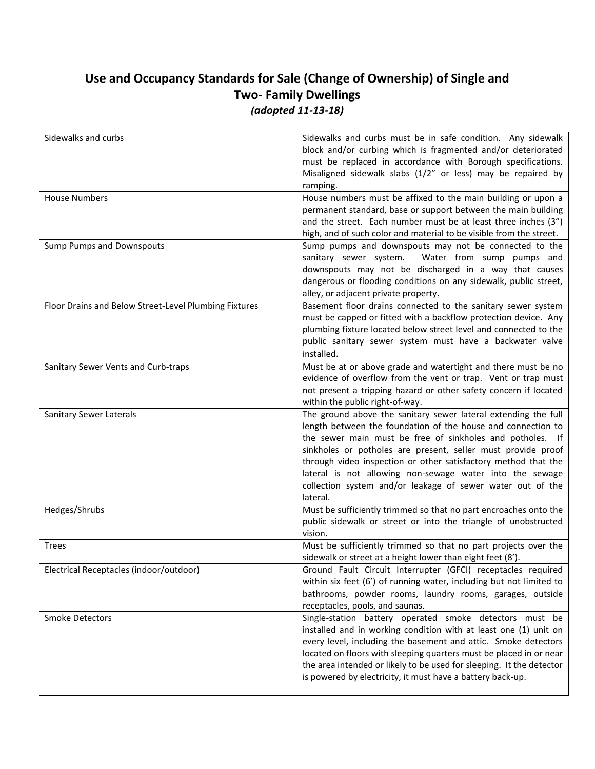## **Use and Occupancy Standards for Sale (Change of Ownership) of Single and Two- Family Dwellings**  *(adopted 11-13-18)*

| Sidewalks and curbs must be in safe condition. Any sidewalk<br>block and/or curbing which is fragmented and/or deteriorated<br>must be replaced in accordance with Borough specifications.<br>Misaligned sidewalk slabs (1/2" or less) may be repaired by<br>ramping.                                                                                                                                                                                               |
|---------------------------------------------------------------------------------------------------------------------------------------------------------------------------------------------------------------------------------------------------------------------------------------------------------------------------------------------------------------------------------------------------------------------------------------------------------------------|
| House numbers must be affixed to the main building or upon a<br>permanent standard, base or support between the main building<br>and the street. Each number must be at least three inches (3")<br>high, and of such color and material to be visible from the street.                                                                                                                                                                                              |
| Sump pumps and downspouts may not be connected to the<br>sanitary sewer system.<br>Water from sump pumps and<br>downspouts may not be discharged in a way that causes<br>dangerous or flooding conditions on any sidewalk, public street,<br>alley, or adjacent private property.                                                                                                                                                                                   |
| Basement floor drains connected to the sanitary sewer system<br>must be capped or fitted with a backflow protection device. Any<br>plumbing fixture located below street level and connected to the<br>public sanitary sewer system must have a backwater valve<br>installed.                                                                                                                                                                                       |
| Must be at or above grade and watertight and there must be no<br>evidence of overflow from the vent or trap. Vent or trap must<br>not present a tripping hazard or other safety concern if located<br>within the public right-of-way.                                                                                                                                                                                                                               |
| The ground above the sanitary sewer lateral extending the full<br>length between the foundation of the house and connection to<br>the sewer main must be free of sinkholes and potholes. If<br>sinkholes or potholes are present, seller must provide proof<br>through video inspection or other satisfactory method that the<br>lateral is not allowing non-sewage water into the sewage<br>collection system and/or leakage of sewer water out of the<br>lateral. |
| Must be sufficiently trimmed so that no part encroaches onto the<br>public sidewalk or street or into the triangle of unobstructed<br>vision.                                                                                                                                                                                                                                                                                                                       |
| Must be sufficiently trimmed so that no part projects over the<br>sidewalk or street at a height lower than eight feet (8').                                                                                                                                                                                                                                                                                                                                        |
| Ground Fault Circuit Interrupter (GFCI) receptacles required<br>within six feet (6') of running water, including but not limited to<br>bathrooms, powder rooms, laundry rooms, garages, outside<br>receptacles, pools, and saunas.                                                                                                                                                                                                                                  |
| Single-station battery operated smoke detectors must be<br>installed and in working condition with at least one (1) unit on<br>every level, including the basement and attic. Smoke detectors<br>located on floors with sleeping quarters must be placed in or near<br>the area intended or likely to be used for sleeping. It the detector<br>is powered by electricity, it must have a battery back-up.                                                           |
|                                                                                                                                                                                                                                                                                                                                                                                                                                                                     |